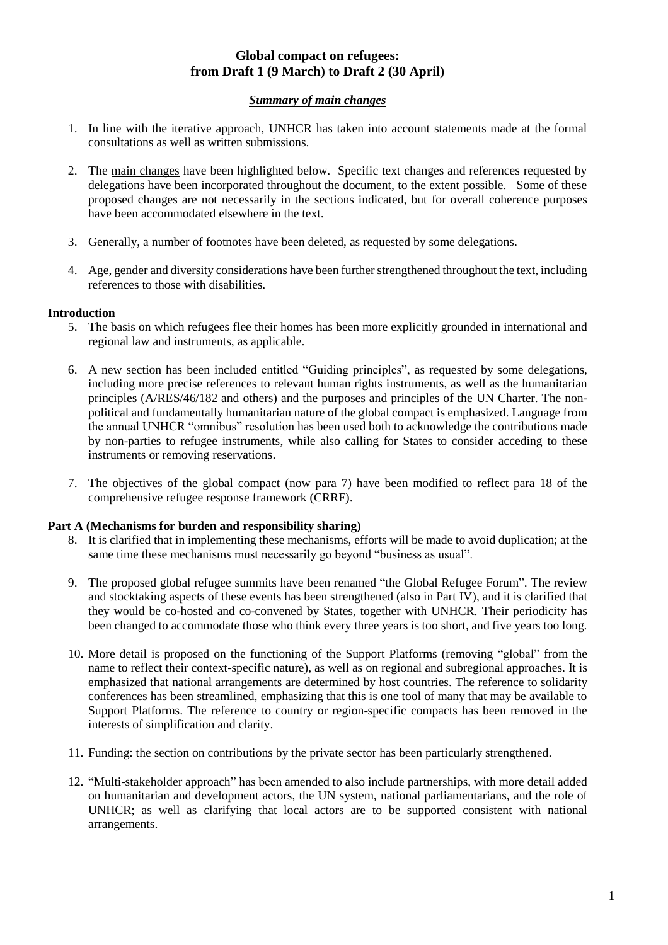# **Global compact on refugees: from Draft 1 (9 March) to Draft 2 (30 April)**

## *Summary of main changes*

- 1. In line with the iterative approach, UNHCR has taken into account statements made at the formal consultations as well as written submissions.
- 2. The main changes have been highlighted below. Specific text changes and references requested by delegations have been incorporated throughout the document, to the extent possible. Some of these proposed changes are not necessarily in the sections indicated, but for overall coherence purposes have been accommodated elsewhere in the text.
- 3. Generally, a number of footnotes have been deleted, as requested by some delegations.
- 4. Age, gender and diversity considerations have been further strengthened throughout the text, including references to those with disabilities.

## **Introduction**

- 5. The basis on which refugees flee their homes has been more explicitly grounded in international and regional law and instruments, as applicable.
- 6. A new section has been included entitled "Guiding principles", as requested by some delegations, including more precise references to relevant human rights instruments, as well as the humanitarian principles (A/RES/46/182 and others) and the purposes and principles of the UN Charter. The nonpolitical and fundamentally humanitarian nature of the global compact is emphasized. Language from the annual UNHCR "omnibus" resolution has been used both to acknowledge the contributions made by non-parties to refugee instruments, while also calling for States to consider acceding to these instruments or removing reservations.
- 7. The objectives of the global compact (now para 7) have been modified to reflect para 18 of the comprehensive refugee response framework (CRRF).

# **Part A (Mechanisms for burden and responsibility sharing)**

- 8. It is clarified that in implementing these mechanisms, efforts will be made to avoid duplication; at the same time these mechanisms must necessarily go beyond "business as usual".
- 9. The proposed global refugee summits have been renamed "the Global Refugee Forum". The review and stocktaking aspects of these events has been strengthened (also in Part IV), and it is clarified that they would be co-hosted and co-convened by States, together with UNHCR. Their periodicity has been changed to accommodate those who think every three years is too short, and five years too long.
- 10. More detail is proposed on the functioning of the Support Platforms (removing "global" from the name to reflect their context-specific nature), as well as on regional and subregional approaches. It is emphasized that national arrangements are determined by host countries. The reference to solidarity conferences has been streamlined, emphasizing that this is one tool of many that may be available to Support Platforms. The reference to country or region-specific compacts has been removed in the interests of simplification and clarity.
- 11. Funding: the section on contributions by the private sector has been particularly strengthened.
- 12. "Multi-stakeholder approach" has been amended to also include partnerships, with more detail added on humanitarian and development actors, the UN system, national parliamentarians, and the role of UNHCR; as well as clarifying that local actors are to be supported consistent with national arrangements.